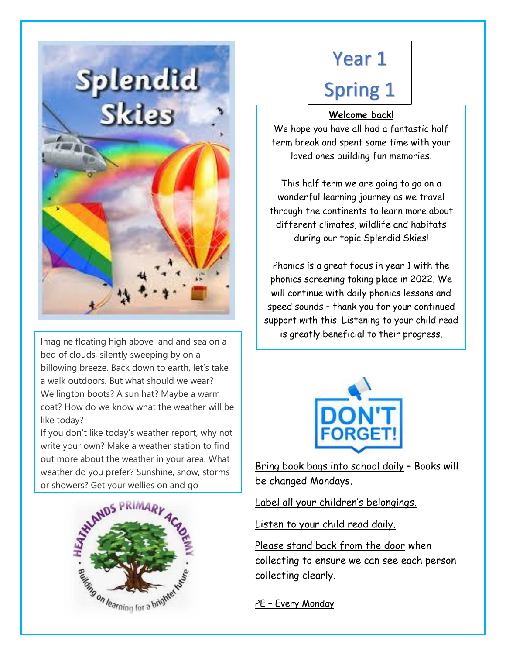

Imagine floating high above land and sea on a bed of clouds, silently sweeping by on a billowing breeze. Back down to earth, let's take a walk outdoors. But what should we wear? Wellington boots? A sun hat? Maybe a warm coat? How do we know what the weather will be like today?

If you don't like today's weather report, why not write your own? Make a weather station to find out more about the weather in your area. What weather do you prefer? Sunshine, snow, storms or showers? Get your wellies on and go



# Year 1 Spring 1

## **Welcome back!**

We hope you have all had a fantastic half term break and spent some time with your loved ones building fun memories.

This half term we are going to go on a wonderful learning journey as we travel through the continents to learn more about different climates, wildlife and habitats during our topic Splendid Skies!

Phonics is a great focus in year 1 with the phonics screening taking place in 2022. We will continue with daily phonics lessons and speed sounds – thank you for your continued support with this. Listening to your child read is greatly beneficial to their progress.



Bring book bags into school daily – Books will be changed Mondays.

Label all your children's belongings.

Listen to your child read daily.

Please stand back from the door when collecting to ensure we can see each person collecting clearly.

PE – Every Monday